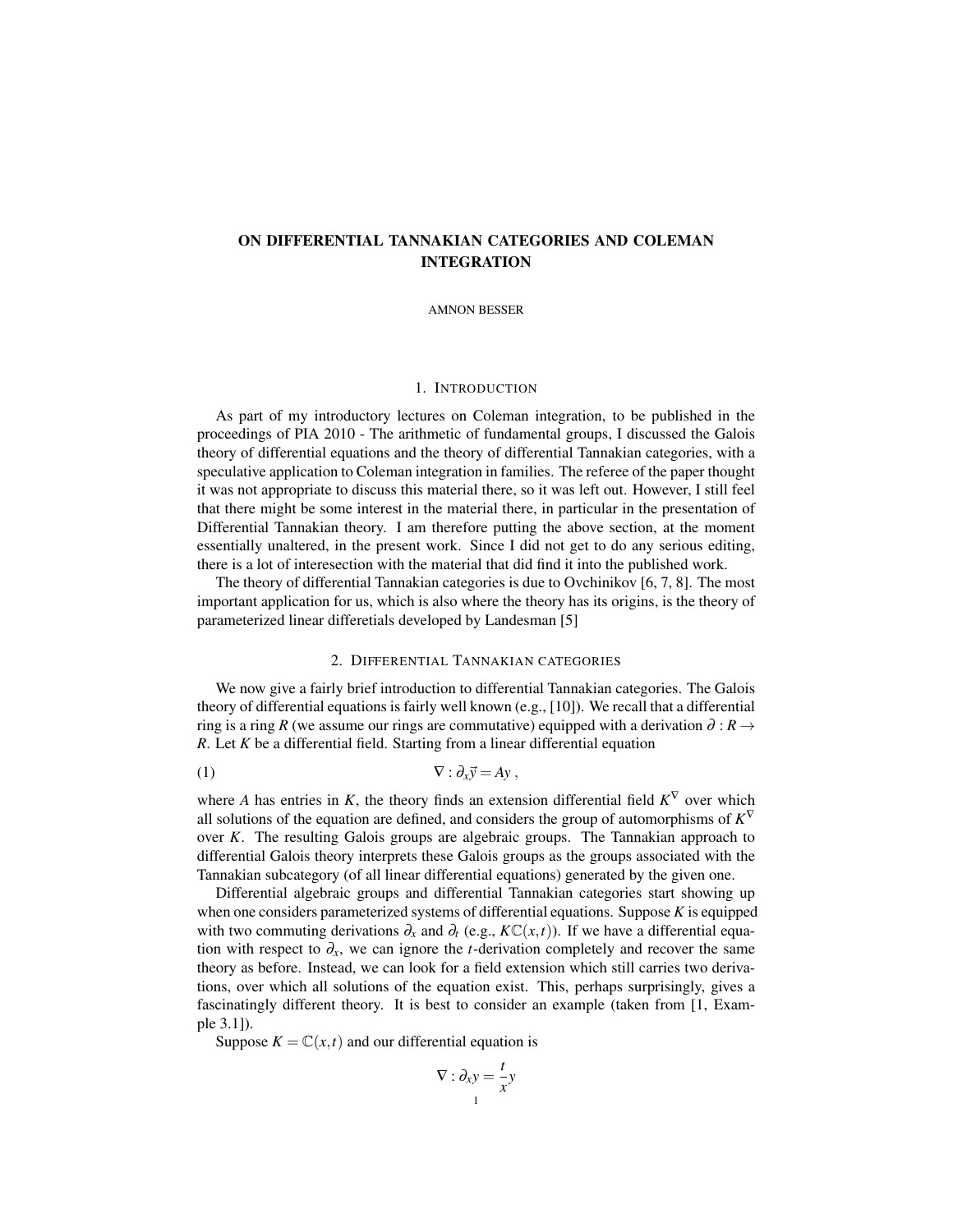# ON DIFFERENTIAL TANNAKIAN CATEGORIES AND COLEMAN INTEGRATION

AMNON BESSER

#### 1. INTRODUCTION

As part of my introductory lectures on Coleman integration, to be published in the proceedings of PIA 2010 - The arithmetic of fundamental groups, I discussed the Galois theory of differential equations and the theory of differential Tannakian categories, with a speculative application to Coleman integration in families. The referee of the paper thought it was not appropriate to discuss this material there, so it was left out. However, I still feel that there might be some interest in the material there, in particular in the presentation of Differential Tannakian theory. I am therefore putting the above section, at the moment essentially unaltered, in the present work. Since I did not get to do any serious editing, there is a lot of interesection with the material that did find it into the published work.

The theory of differential Tannakian categories is due to Ovchinikov [6, 7, 8]. The most important application for us, which is also where the theory has its origins, is the theory of parameterized linear differetials developed by Landesman [5]

## 2. DIFFERENTIAL TANNAKIAN CATEGORIES

We now give a fairly brief introduction to differential Tannakian categories. The Galois theory of differential equations is fairly well known (e.g., [10]). We recall that a differential ring is a ring *R* (we assume our rings are commutative) equipped with a derivation  $\partial : R \rightarrow$ *R*. Let *K* be a differential field. Starting from a linear differential equation

$$
\nabla : \partial_x \vec{y} = Ay \,,
$$

where *A* has entries in *K*, the theory finds an extension differential field  $K^{\nabla}$  over which all solutions of the equation are defined, and considers the group of automorphisms of  $K^{\nabla}$ over *K*. The resulting Galois groups are algebraic groups. The Tannakian approach to differential Galois theory interprets these Galois groups as the groups associated with the Tannakian subcategory (of all linear differential equations) generated by the given one.

Differential algebraic groups and differential Tannakian categories start showing up when one considers parameterized systems of differential equations. Suppose *K* is equipped with two commuting derivations  $\partial_x$  and  $\partial_t$  (e.g.,  $K\mathbb{C}(x,t)$ ). If we have a differential equation with respect to  $\partial_x$ , we can ignore the *t*-derivation completely and recover the same theory as before. Instead, we can look for a field extension which still carries two derivations, over which all solutions of the equation exist. This, perhaps surprisingly, gives a fascinatingly different theory. It is best to consider an example (taken from [1, Example 3.1]).

Suppose  $K = \mathbb{C}(x,t)$  and our differential equation is

$$
\nabla : \partial_x y = \frac{t}{x} y
$$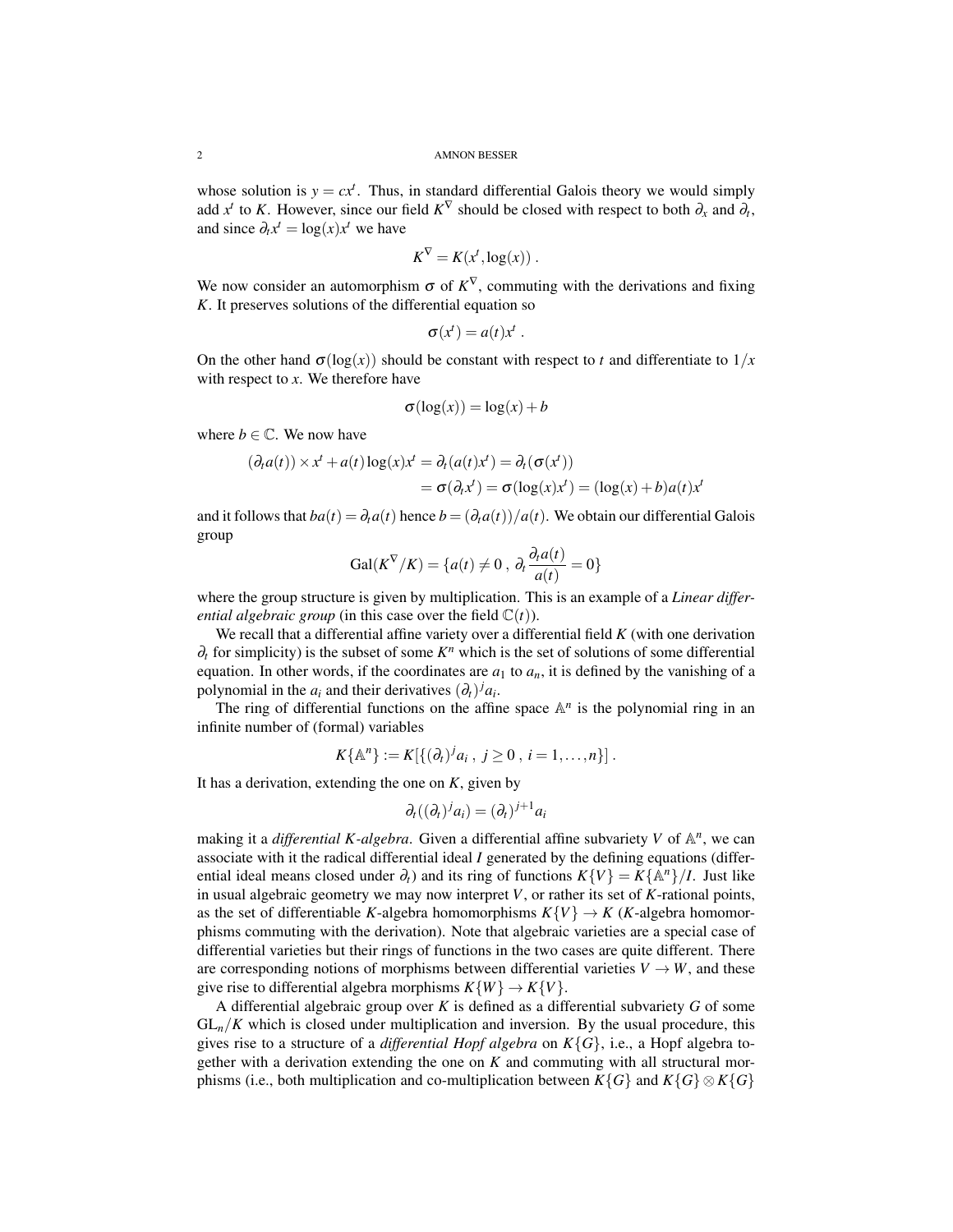whose solution is  $y = cx^t$ . Thus, in standard differential Galois theory we would simply add  $x^t$  to *K*. However, since our field  $K^{\nabla}$  should be closed with respect to both  $\partial_x$  and  $\partial_t$ , and since  $\partial_t x^t = \log(x) x^t$  we have

$$
K^{\nabla} = K(x^t, \log(x)) \; .
$$

We now consider an automorphism  $\sigma$  of  $K^{\nabla}$ , commuting with the derivations and fixing *K*. It preserves solutions of the differential equation so

$$
\sigma(x^t) = a(t)x^t.
$$

On the other hand  $\sigma(\log(x))$  should be constant with respect to *t* and differentiate to  $1/x$ with respect to *x*. We therefore have

$$
\sigma(\log(x)) = \log(x) + b
$$

where  $b \in \mathbb{C}$ . We now have

$$
(\partial_t a(t)) \times x^t + a(t) \log(x) x^t = \partial_t (a(t) x^t) = \partial_t (\sigma(x^t))
$$
  
=  $\sigma(\partial_t x^t) = \sigma(\log(x) x^t) = (\log(x) + b) a(t) x^t$ 

and it follows that  $ba(t) = \partial_t a(t)$  hence  $b = (\partial_t a(t))/a(t)$ . We obtain our differential Galois group

$$
Gal(K^{\nabla}/K) = \{a(t) \neq 0, \partial_t \frac{\partial_t a(t)}{a(t)} = 0\}
$$

where the group structure is given by multiplication. This is an example of a *Linear differential algebraic group* (in this case over the field  $\mathbb{C}(t)$ ).

We recall that a differential affine variety over a differential field *K* (with one derivation  $\partial_t$  for simplicity) is the subset of some  $K^n$  which is the set of solutions of some differential equation. In other words, if the coordinates are  $a_1$  to  $a_n$ , it is defined by the vanishing of a polynomial in the  $a_i$  and their derivatives  $(\partial_t)^j a_i$ .

The ring of differential functions on the affine space  $\mathbb{A}^n$  is the polynomial ring in an infinite number of (formal) variables

$$
K\{\mathbb{A}^n\} := K[\{(\partial_t)^j a_i, j \ge 0, i = 1, ..., n\}].
$$

It has a derivation, extending the one on *K*, given by

$$
\partial_t((\partial_t)^j a_i) = (\partial_t)^{j+1} a_i
$$

making it a *differential K-algebra*. Given a differential affine subvariety *V* of  $\mathbb{A}^n$ , we can associate with it the radical differential ideal *I* generated by the defining equations (differential ideal means closed under  $\partial_t$ ) and its ring of functions  $K\{V\} = K\{\mathbb{A}^n\}/I$ . Just like in usual algebraic geometry we may now interpret *V*, or rather its set of *K*-rational points, as the set of differentiable *K*-algebra homomorphisms  $K\{V\} \rightarrow K$  (*K*-algebra homomorphisms commuting with the derivation). Note that algebraic varieties are a special case of differential varieties but their rings of functions in the two cases are quite different. There are corresponding notions of morphisms between differential varieties  $V \rightarrow W$ , and these give rise to differential algebra morphisms  $K\{W\} \rightarrow K\{V\}$ .

A differential algebraic group over *K* is defined as a differential subvariety *G* of some  $GL_n/K$  which is closed under multiplication and inversion. By the usual procedure, this gives rise to a structure of a *differential Hopf algebra* on *K*{*G*}, i.e., a Hopf algebra together with a derivation extending the one on *K* and commuting with all structural morphisms (i.e., both multiplication and co-multiplication between  $K\{G\}$  and  $K\{G\} \otimes K\{G\}$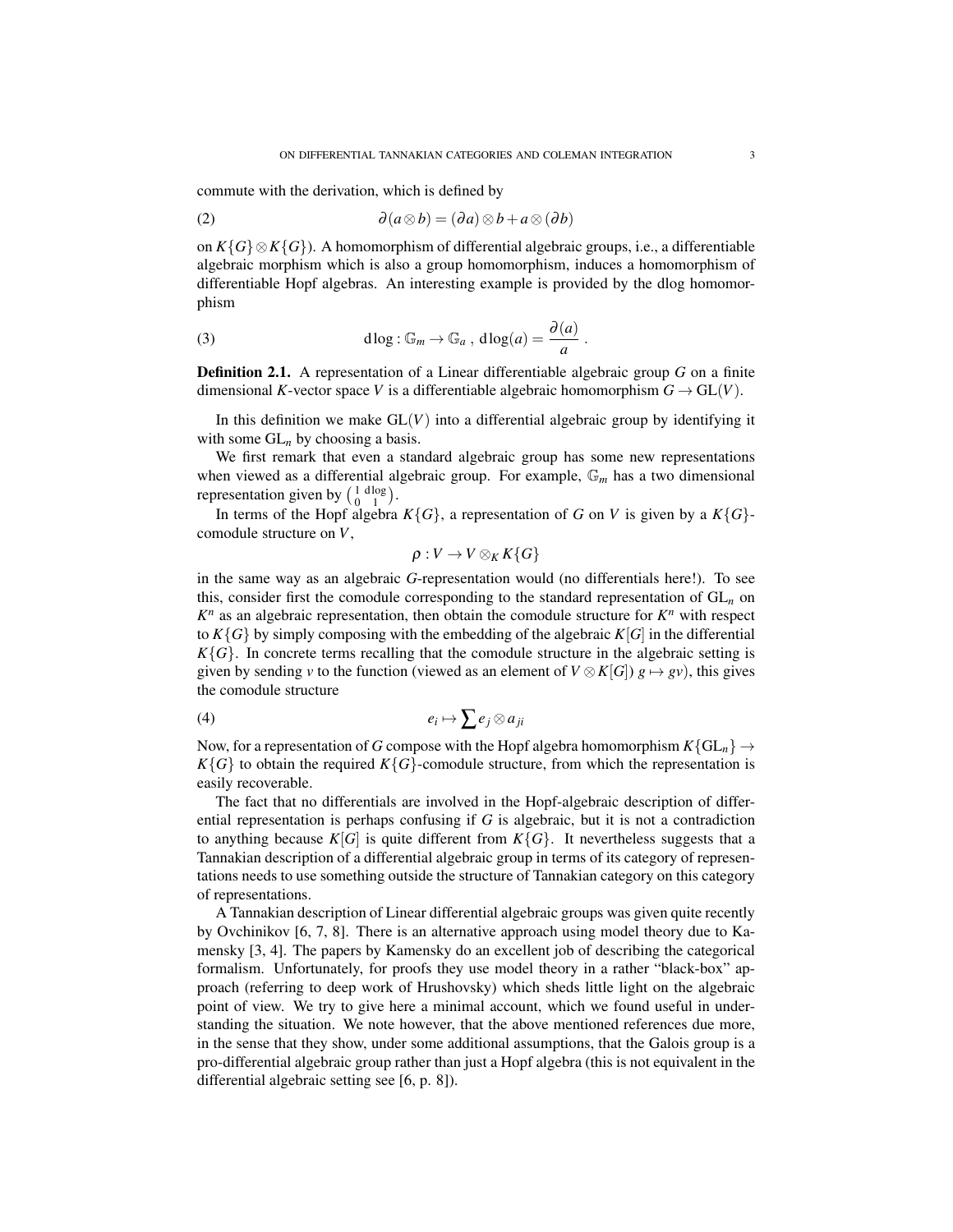commute with the derivation, which is defined by

(2) 
$$
\partial(a\otimes b) = (\partial a)\otimes b + a\otimes (\partial b)
$$

on *K*{*G*}⊗*K*{*G*}). A homomorphism of differential algebraic groups, i.e., a differentiable algebraic morphism which is also a group homomorphism, induces a homomorphism of differentiable Hopf algebras. An interesting example is provided by the dlog homomorphism

(3) 
$$
d \log : \mathbb{G}_m \to \mathbb{G}_a, \, d \log(a) = \frac{\partial(a)}{a}.
$$

Definition 2.1. A representation of a Linear differentiable algebraic group *G* on a finite dimensional *K*-vector space *V* is a differentiable algebraic homomorphism  $G \to GL(V)$ .

In this definition we make  $GL(V)$  into a differential algebraic group by identifying it with some GL<sub>n</sub> by choosing a basis.

We first remark that even a standard algebraic group has some new representations when viewed as a differential algebraic group. For example, G*<sup>m</sup>* has a two dimensional representation given by  $\begin{pmatrix} 1 & d \log a \\ 0 & 1 \end{pmatrix}$  $\begin{pmatrix} 1 & \text{d} \log \\ 0 & 1 \end{pmatrix}$ .

In terms of the Hopf algebra  $K\{G\}$ , a representation of *G* on *V* is given by a  $K\{G\}$ comodule structure on *V*,

$$
\rho:V\to V\otimes_K K\{G\}
$$

in the same way as an algebraic *G*-representation would (no differentials here!). To see this, consider first the comodule corresponding to the standard representation of GL*<sup>n</sup>* on  $K<sup>n</sup>$  as an algebraic representation, then obtain the comodule structure for  $K<sup>n</sup>$  with respect to  $K\{G\}$  by simply composing with the embedding of the algebraic  $K[G]$  in the differential  $K\{G\}$ . In concrete terms recalling that the comodule structure in the algebraic setting is given by sending *v* to the function (viewed as an element of  $V \otimes K[G]$ )  $g \mapsto gv$ ), this gives the comodule structure

$$
(4) \t\t\t e_i \mapsto \sum e_j \otimes a_{ji}
$$

Now, for a representation of *G* compose with the Hopf algebra homomorphism  $K\{GL_n\} \to$  $K\{G\}$  to obtain the required  $K\{G\}$ -comodule structure, from which the representation is easily recoverable.

The fact that no differentials are involved in the Hopf-algebraic description of differential representation is perhaps confusing if *G* is algebraic, but it is not a contradiction to anything because  $K[G]$  is quite different from  $K\{G\}$ . It nevertheless suggests that a Tannakian description of a differential algebraic group in terms of its category of representations needs to use something outside the structure of Tannakian category on this category of representations.

A Tannakian description of Linear differential algebraic groups was given quite recently by Ovchinikov [6, 7, 8]. There is an alternative approach using model theory due to Kamensky [3, 4]. The papers by Kamensky do an excellent job of describing the categorical formalism. Unfortunately, for proofs they use model theory in a rather "black-box" approach (referring to deep work of Hrushovsky) which sheds little light on the algebraic point of view. We try to give here a minimal account, which we found useful in understanding the situation. We note however, that the above mentioned references due more, in the sense that they show, under some additional assumptions, that the Galois group is a pro-differential algebraic group rather than just a Hopf algebra (this is not equivalent in the differential algebraic setting see [6, p. 8]).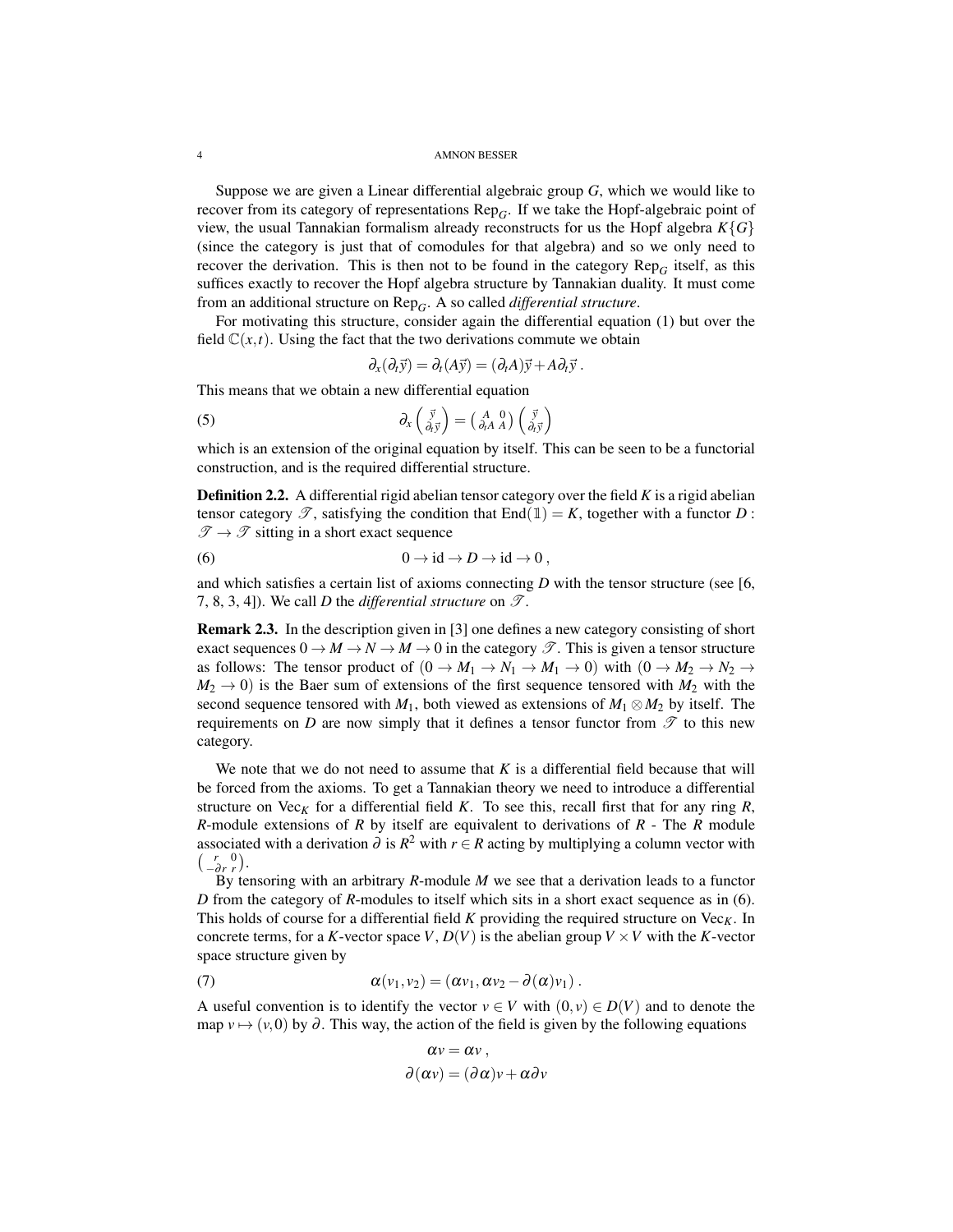4 AMNON BESSER

Suppose we are given a Linear differential algebraic group *G*, which we would like to recover from its category of representations Rep*G*. If we take the Hopf-algebraic point of view, the usual Tannakian formalism already reconstructs for us the Hopf algebra  $K\{G\}$ (since the category is just that of comodules for that algebra) and so we only need to recover the derivation. This is then not to be found in the category  $\text{Rep}_G$  itself, as this suffices exactly to recover the Hopf algebra structure by Tannakian duality. It must come from an additional structure on Rep*G*. A so called *differential structure*.

For motivating this structure, consider again the differential equation (1) but over the field  $C(x,t)$ . Using the fact that the two derivations commute we obtain

$$
\partial_x(\partial_t \vec{y}) = \partial_t(A\vec{y}) = (\partial_t A)\vec{y} + A\partial_t \vec{y}.
$$

This means that we obtain a new differential equation

(5) 
$$
\partial_x \begin{pmatrix} \vec{y} \\ \partial_t \vec{y} \end{pmatrix} = \begin{pmatrix} A & 0 \\ \partial_t A & A \end{pmatrix} \begin{pmatrix} \vec{y} \\ \partial_t \vec{y} \end{pmatrix}
$$

which is an extension of the original equation by itself. This can be seen to be a functorial construction, and is the required differential structure.

Definition 2.2. A differential rigid abelian tensor category over the field *K* is a rigid abelian tensor category  $\mathscr{T}$ , satisfying the condition that End(1) = K, together with a functor D:  $\mathscr{T} \to \mathscr{T}$  sitting in a short exact sequence

(6) 
$$
0 \to \mathrm{id} \to D \to \mathrm{id} \to 0,
$$

and which satisfies a certain list of axioms connecting *D* with the tensor structure (see [6, 7, 8, 3, 4]). We call *D* the *differential structure* on  $\mathscr{T}$ .

Remark 2.3. In the description given in [3] one defines a new category consisting of short exact sequences  $0 \to M \to N \to M \to 0$  in the category  $\mathscr{T}$ . This is given a tensor structure as follows: The tensor product of  $(0 \to M_1 \to N_1 \to M_1 \to 0)$  with  $(0 \to M_2 \to N_2 \to$  $M_2 \rightarrow 0$ ) is the Baer sum of extensions of the first sequence tensored with  $M_2$  with the second sequence tensored with  $M_1$ , both viewed as extensions of  $M_1 \otimes M_2$  by itself. The requirements on  $D$  are now simply that it defines a tensor functor from  $\mathscr T$  to this new category.

We note that we do not need to assume that  $K$  is a differential field because that will be forced from the axioms. To get a Tannakian theory we need to introduce a differential structure on Vec<sub>K</sub> for a differential field *K*. To see this, recall first that for any ring  $R$ , *R*-module extensions of *R* by itself are equivalent to derivations of *R* - The *R* module associated with a derivation  $\partial$  is  $R^2$  with  $r \in R$  acting by multiplying a column vector with  $\begin{pmatrix} r & 0 \\ -\partial r & r \end{pmatrix}$ .

By tensoring with an arbitrary *R*-module *M* we see that a derivation leads to a functor *D* from the category of *R*-modules to itself which sits in a short exact sequence as in (6). This holds of course for a differential field  $K$  providing the required structure on  $Vec<sub>K</sub>$ . In concrete terms, for a *K*-vector space *V*,  $D(V)$  is the abelian group  $V \times V$  with the *K*-vector space structure given by

(7) 
$$
\alpha(v_1, v_2) = (\alpha v_1, \alpha v_2 - \partial(\alpha)v_1).
$$

A useful convention is to identify the vector  $v \in V$  with  $(0, v) \in D(V)$  and to denote the map  $v \mapsto (v,0)$  by  $\partial$ . This way, the action of the field is given by the following equations

$$
\alpha v = \alpha v ,
$$
  

$$
\partial(\alpha v) = (\partial \alpha)v + \alpha \partial v
$$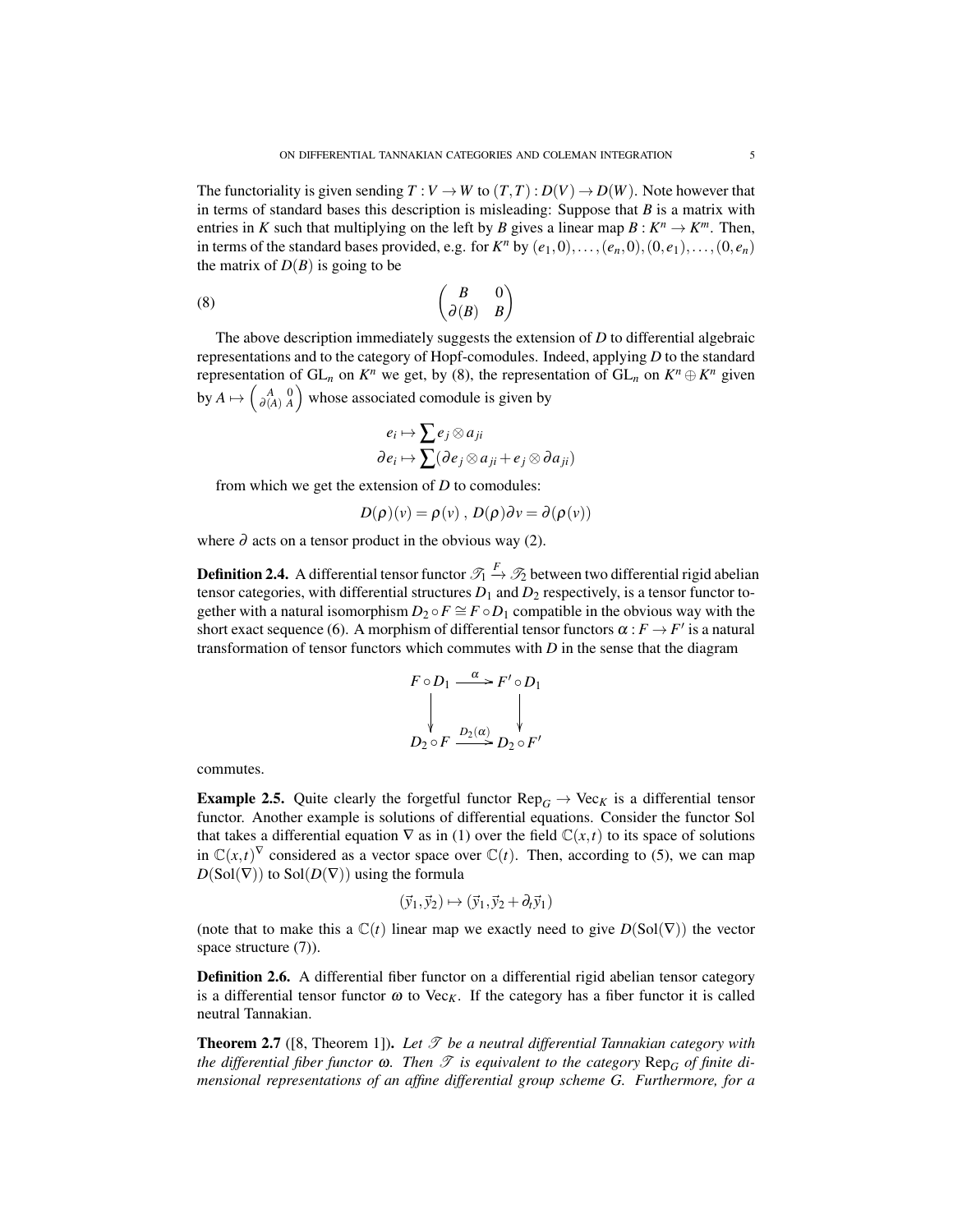The functoriality is given sending  $T: V \to W$  to  $(T, T): D(V) \to D(W)$ . Note however that in terms of standard bases this description is misleading: Suppose that *B* is a matrix with entries in *K* such that multiplying on the left by *B* gives a linear map  $B: K^n \to K^m$ . Then, in terms of the standard bases provided, e.g. for  $K^n$  by  $(e_1, 0), \ldots, (e_n, 0), (0, e_1), \ldots, (0, e_n)$ the matrix of  $D(B)$  is going to be

$$
\begin{pmatrix}\nB & 0 \\
\partial(B) & B\n\end{pmatrix}
$$

The above description immediately suggests the extension of *D* to differential algebraic representations and to the category of Hopf-comodules. Indeed, applying *D* to the standard representation of  $GL_n$  on  $K^n$  we get, by (8), the representation of  $GL_n$  on  $K^n \oplus K^n$  given by  $A \mapsto \left(\begin{smallmatrix} A & 0 \\ \partial (A) & A \end{smallmatrix}\right)$  whose associated comodule is given by

$$
e_i \mapsto \sum e_j \otimes a_{ji}
$$
  

$$
\partial e_i \mapsto \sum (\partial e_j \otimes a_{ji} + e_j \otimes \partial a_{ji})
$$

from which we get the extension of *D* to comodules:

$$
D(\rho)(v) = \rho(v) , D(\rho)\partial v = \partial(\rho(v))
$$

where  $\partial$  acts on a tensor product in the obvious way (2).

**Definition 2.4.** A differential tensor functor  $\mathcal{T}_1 \xrightarrow{F} \mathcal{T}_2$  between two differential rigid abelian tensor categories, with differential structures  $D_1$  and  $D_2$  respectively, is a tensor functor together with a natural isomorphism  $D_2 \circ F \cong F \circ D_1$  compatible in the obvious way with the short exact sequence (6). A morphism of differential tensor functors  $\alpha : F \to F'$  is a natural transformation of tensor functors which commutes with *D* in the sense that the diagram

$$
F \circ D_1 \xrightarrow{\alpha} F' \circ D_1
$$
  
\n
$$
\downarrow \qquad \qquad \downarrow
$$
  
\n
$$
D_2 \circ F \xrightarrow{D_2(\alpha)} D_2 \circ F'
$$

commutes.

**Example 2.5.** Quite clearly the forgetful functor  $\text{Rep}_G \to \text{Vec}_K$  is a differential tensor functor. Another example is solutions of differential equations. Consider the functor Sol that takes a differential equation  $\nabla$  as in (1) over the field  $\mathbb{C}(x,t)$  to its space of solutions in  $\mathbb{C}(x,t)^\nabla$  considered as a vector space over  $\mathbb{C}(t)$ . Then, according to (5), we can map  $D(Sol(\nabla))$  to  $Sol(D(\nabla))$  using the formula

$$
(\vec{y}_1, \vec{y}_2) \mapsto (\vec{y}_1, \vec{y}_2 + \partial_t \vec{y}_1)
$$

(note that to make this a  $\mathbb{C}(t)$  linear map we exactly need to give  $D(Sol(\nabla))$  the vector space structure  $(7)$ ).

Definition 2.6. A differential fiber functor on a differential rigid abelian tensor category is a differential tensor functor  $\omega$  to Vec<sub>K</sub>. If the category has a fiber functor it is called neutral Tannakian.

**Theorem 2.7** ([8, Theorem 1]). Let  $\mathcal T$  be a neutral differential Tannakian category with *the differential fiber functor*  $\omega$ . *Then*  $\mathscr T$  *is equivalent to the category*  $\text{Rep}_{G}$  *of finite dimensional representations of an affine differential group scheme G. Furthermore, for a*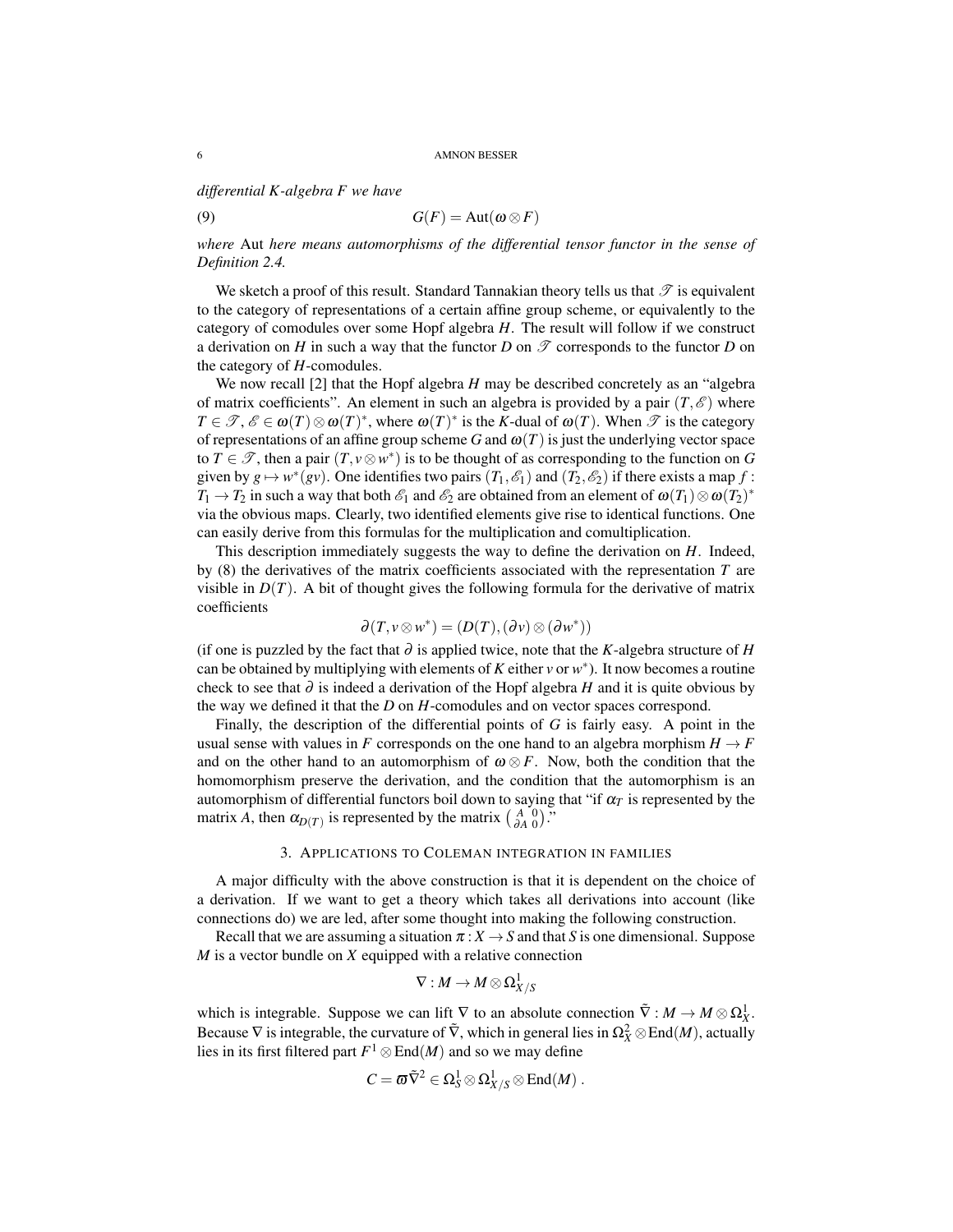*differential K-algebra F we have*

(9) 
$$
G(F) = \text{Aut}(\omega \otimes F)
$$

*where* Aut *here means automorphisms of the differential tensor functor in the sense of Definition 2.4.*

We sketch a proof of this result. Standard Tannakian theory tells us that  $\mathscr T$  is equivalent to the category of representations of a certain affine group scheme, or equivalently to the category of comodules over some Hopf algebra *H*. The result will follow if we construct a derivation on *H* in such a way that the functor *D* on  $\mathcal T$  corresponds to the functor *D* on the category of *H*-comodules.

We now recall [2] that the Hopf algebra *H* may be described concretely as an "algebra of matrix coefficients". An element in such an algebra is provided by a pair  $(T, \mathscr{E})$  where  $T \in \mathcal{T}, \mathcal{E} \in \omega(T) \otimes \omega(T)^*$ , where  $\omega(T)^*$  is the *K*-dual of  $\omega(T)$ . When  $\mathcal{T}$  is the category of representations of an affine group scheme *G* and  $\omega(T)$  is just the underlying vector space to  $T \in \mathcal{T}$ , then a pair  $(T, v \otimes w^*)$  is to be thought of as corresponding to the function on *G* given by  $g \mapsto w^*(gv)$ . One identifies two pairs  $(T_1, \mathscr{E}_1)$  and  $(T_2, \mathscr{E}_2)$  if there exists a map  $f$ :  $T_1 \to T_2$  in such a way that both  $\mathscr{E}_1$  and  $\mathscr{E}_2$  are obtained from an element of  $\omega(T_1) \otimes \omega(T_2)^*$ via the obvious maps. Clearly, two identified elements give rise to identical functions. One can easily derive from this formulas for the multiplication and comultiplication.

This description immediately suggests the way to define the derivation on *H*. Indeed, by (8) the derivatives of the matrix coefficients associated with the representation *T* are visible in  $D(T)$ . A bit of thought gives the following formula for the derivative of matrix coefficients

$$
\partial(T, v \otimes w^*) = (D(T), (\partial v) \otimes (\partial w^*))
$$

(if one is puzzled by the fact that  $\partial$  is applied twice, note that the *K*-algebra structure of *H* can be obtained by multiplying with elements of  $K$  either  $v$  or  $w^*$ ). It now becomes a routine check to see that ∂ is indeed a derivation of the Hopf algebra *H* and it is quite obvious by the way we defined it that the *D* on *H*-comodules and on vector spaces correspond.

Finally, the description of the differential points of *G* is fairly easy. A point in the usual sense with values in *F* corresponds on the one hand to an algebra morphism  $H \rightarrow F$ and on the other hand to an automorphism of  $\omega \otimes F$ . Now, both the condition that the homomorphism preserve the derivation, and the condition that the automorphism is an automorphism of differential functors boil down to saying that "if  $\alpha_T$  is represented by the matrix *A*, then  $\alpha_{D(T)}$  is represented by the matrix  $\begin{pmatrix} A & 0 \\ \partial A & 0 \end{pmatrix}$ ."

## 3. APPLICATIONS TO COLEMAN INTEGRATION IN FAMILIES

A major difficulty with the above construction is that it is dependent on the choice of a derivation. If we want to get a theory which takes all derivations into account (like connections do) we are led, after some thought into making the following construction.

Recall that we are assuming a situation  $\pi: X \to S$  and that *S* is one dimensional. Suppose *M* is a vector bundle on *X* equipped with a relative connection

$$
\nabla:M\rightarrow M\mathop{\otimes}\Omega^1_{X/S}
$$

which is integrable. Suppose we can lift  $\nabla$  to an absolute connection  $\tilde{\nabla}: M \to M \otimes \Omega_X^1$ . Because  $\nabla$  is integrable, the curvature of  $\tilde{\nabla}$ , which in general lies in  $\Omega_X^2 \otimes \text{End}(M)$ , actually lies in its first filtered part  $F^1 \otimes \text{End}(M)$  and so we may define

$$
C=\pmb{\varpi}\tilde{\nabla}^{2}\in \Omega^{1}_{S}\otimes \Omega^{1}_{X/S}\otimes \mathrm{End}(M)\;.
$$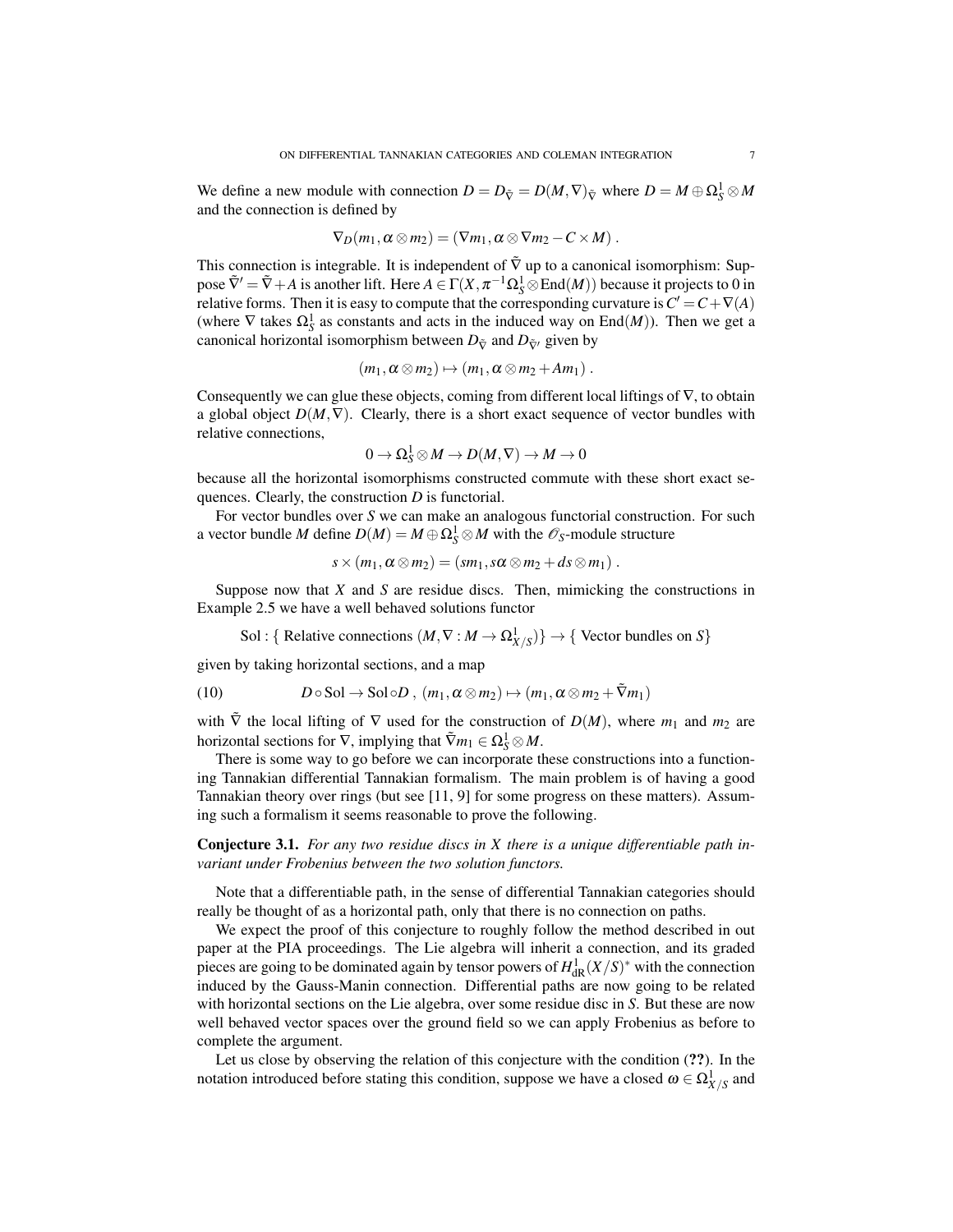We define a new module with connection  $D = D_{\tilde{\nabla}} = D(M, \nabla)_{\tilde{\nabla}}$  where  $D = M \oplus \Omega_S^1 \otimes M$ and the connection is defined by

$$
\nabla_D(m_1,\alpha\otimes m_2)=(\nabla m_1,\alpha\otimes\nabla m_2-C\times M).
$$

This connection is integrable. It is independent of  $\tilde{\nabla}$  up to a canonical isomorphism: Suppose  $\tilde{\nabla}' = \tilde{\nabla} + A$  is another lift. Here  $A \in \Gamma(X, \pi^{-1}\Omega_S^1 \otimes \text{End}(M))$  because it projects to 0 in relative forms. Then it is easy to compute that the corresponding curvature is  $C' = C + \nabla(A)$ (where  $\nabla$  takes  $\Omega_S^1$  as constants and acts in the induced way on End $(M)$ ). Then we get a canonical horizontal isomorphism between  $D_{\tilde{\nabla}}$  and  $D_{\tilde{\nabla}'}$  given by

$$
(m_1, \alpha \otimes m_2) \mapsto (m_1, \alpha \otimes m_2 + Am_1).
$$

Consequently we can glue these objects, coming from different local liftings of  $\nabla$ , to obtain a global object  $D(M, \nabla)$ . Clearly, there is a short exact sequence of vector bundles with relative connections,

$$
0 \to \Omega^1_S \otimes M \to D(M, \nabla) \to M \to 0
$$

because all the horizontal isomorphisms constructed commute with these short exact sequences. Clearly, the construction *D* is functorial.

For vector bundles over *S* we can make an analogous functorial construction. For such a vector bundle *M* define  $D(M) = M \oplus \Omega_S^1 \otimes M$  with the  $\mathscr{O}_S$ -module structure

$$
s \times (m_1, \alpha \otimes m_2) = (sm_1, s \alpha \otimes m_2 + ds \otimes m_1).
$$

Suppose now that *X* and *S* are residue discs. Then, mimicking the constructions in Example 2.5 we have a well behaved solutions functor

Sol : { Relative connections  $(M, \nabla : M \to \Omega^1_{X/S})$ }  $\to$  { Vector bundles on *S*}

given by taking horizontal sections, and a map

(10) 
$$
D \circ \text{Sol} \to \text{Sol} \circ D , (m_1, \alpha \otimes m_2) \mapsto (m_1, \alpha \otimes m_2 + \tilde{\nabla} m_1)
$$

with  $\tilde{\nabla}$  the local lifting of  $\nabla$  used for the construction of  $D(M)$ , where  $m_1$  and  $m_2$  are horizontal sections for  $\nabla$ , implying that  $\tilde{\nabla}m_1 \in \Omega^1_S \otimes M$ .

There is some way to go before we can incorporate these constructions into a functioning Tannakian differential Tannakian formalism. The main problem is of having a good Tannakian theory over rings (but see [11, 9] for some progress on these matters). Assuming such a formalism it seems reasonable to prove the following.

Conjecture 3.1. *For any two residue discs in X there is a unique differentiable path invariant under Frobenius between the two solution functors.*

Note that a differentiable path, in the sense of differential Tannakian categories should really be thought of as a horizontal path, only that there is no connection on paths.

We expect the proof of this conjecture to roughly follow the method described in out paper at the PIA proceedings. The Lie algebra will inherit a connection, and its graded pieces are going to be dominated again by tensor powers of  $H^1_{\text{dR}}(X/S)^*$  with the connection induced by the Gauss-Manin connection. Differential paths are now going to be related with horizontal sections on the Lie algebra, over some residue disc in *S*. But these are now well behaved vector spaces over the ground field so we can apply Frobenius as before to complete the argument.

Let us close by observing the relation of this conjecture with the condition (??). In the notation introduced before stating this condition, suppose we have a closed  $\omega \in \Omega^1_{X/S}$  and